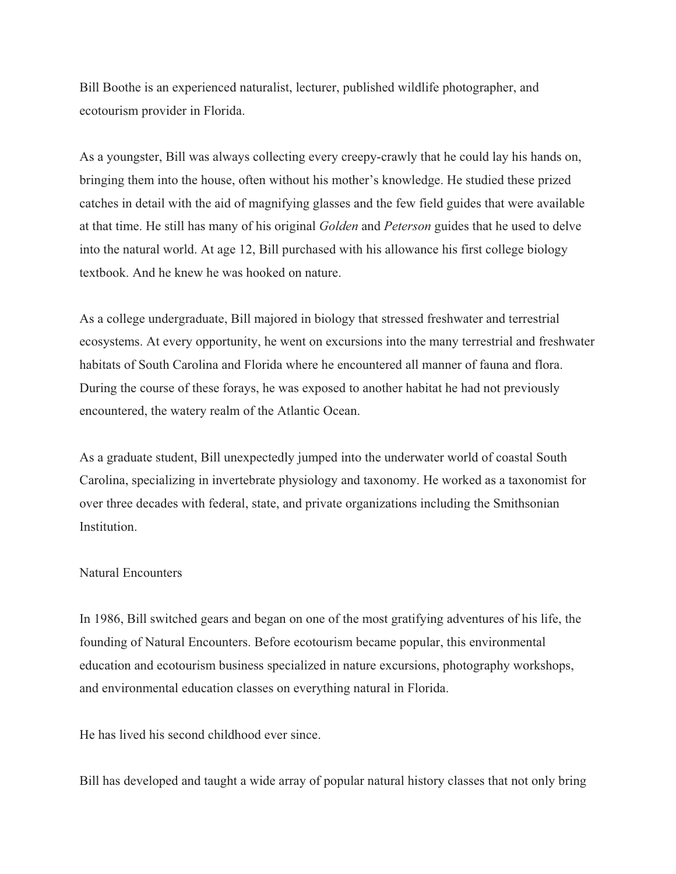Bill Boothe is an experienced naturalist, lecturer, published wildlife photographer, and ecotourism provider in Florida.

As a youngster, Bill was always collecting every creepy-crawly that he could lay his hands on, bringing them into the house, often without his mother's knowledge. He studied these prized catches in detail with the aid of magnifying glasses and the few field guides that were available at that time. He still has many of his original *Golden* and *Peterson* guides that he used to delve into the natural world. At age 12, Bill purchased with his allowance his first college biology textbook. And he knew he was hooked on nature.

As a college undergraduate, Bill majored in biology that stressed freshwater and terrestrial ecosystems. At every opportunity, he went on excursions into the many terrestrial and freshwater habitats of South Carolina and Florida where he encountered all manner of fauna and flora. During the course of these forays, he was exposed to another habitat he had not previously encountered, the watery realm of the Atlantic Ocean.

As a graduate student, Bill unexpectedly jumped into the underwater world of coastal South Carolina, specializing in invertebrate physiology and taxonomy. He worked as a taxonomist for over three decades with federal, state, and private organizations including the Smithsonian Institution.

## Natural Encounters

In 1986, Bill switched gears and began on one of the most gratifying adventures of his life, the founding of Natural Encounters. Before ecotourism became popular, this environmental education and ecotourism business specialized in nature excursions, photography workshops, and environmental education classes on everything natural in Florida.

He has lived his second childhood ever since.

Bill has developed and taught a wide array of popular natural history classes that not only bring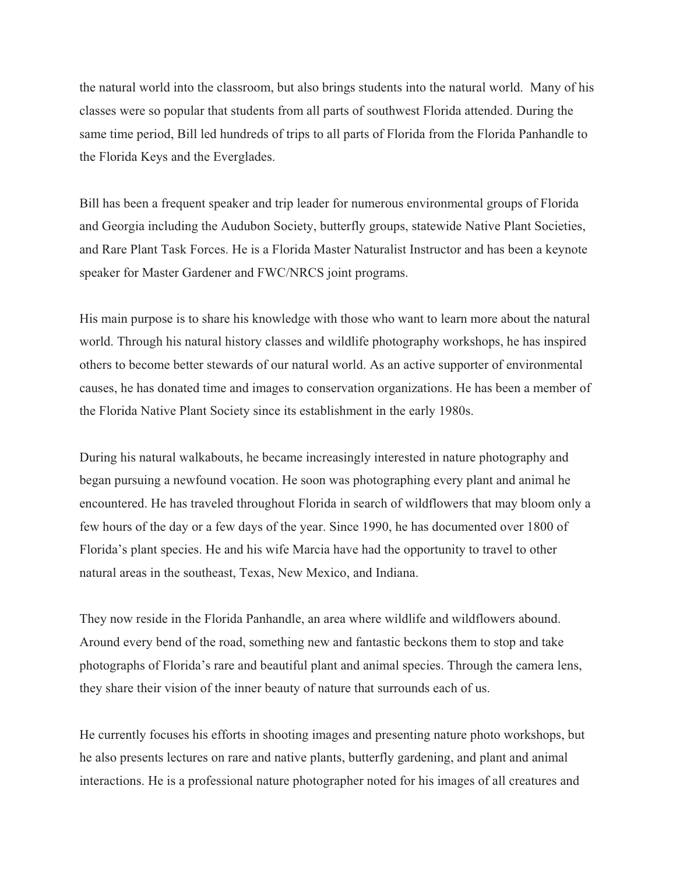the natural world into the classroom, but also brings students into the natural world. Many of his classes were so popular that students from all parts of southwest Florida attended. During the same time period, Bill led hundreds of trips to all parts of Florida from the Florida Panhandle to the Florida Keys and the Everglades.

Bill has been a frequent speaker and trip leader for numerous environmental groups of Florida and Georgia including the Audubon Society, butterfly groups, statewide Native Plant Societies, and Rare Plant Task Forces. He is a Florida Master Naturalist Instructor and has been a keynote speaker for Master Gardener and FWC/NRCS joint programs.

His main purpose is to share his knowledge with those who want to learn more about the natural world. Through his natural history classes and wildlife photography workshops, he has inspired others to become better stewards of our natural world. As an active supporter of environmental causes, he has donated time and images to conservation organizations. He has been a member of the Florida Native Plant Society since its establishment in the early 1980s.

During his natural walkabouts, he became increasingly interested in nature photography and began pursuing a newfound vocation. He soon was photographing every plant and animal he encountered. He has traveled throughout Florida in search of wildflowers that may bloom only a few hours of the day or a few days of the year. Since 1990, he has documented over 1800 of Florida's plant species. He and his wife Marcia have had the opportunity to travel to other natural areas in the southeast, Texas, New Mexico, and Indiana.

They now reside in the Florida Panhandle, an area where wildlife and wildflowers abound. Around every bend of the road, something new and fantastic beckons them to stop and take photographs of Florida's rare and beautiful plant and animal species. Through the camera lens, they share their vision of the inner beauty of nature that surrounds each of us.

He currently focuses his efforts in shooting images and presenting nature photo workshops, but he also presents lectures on rare and native plants, butterfly gardening, and plant and animal interactions. He is a professional nature photographer noted for his images of all creatures and